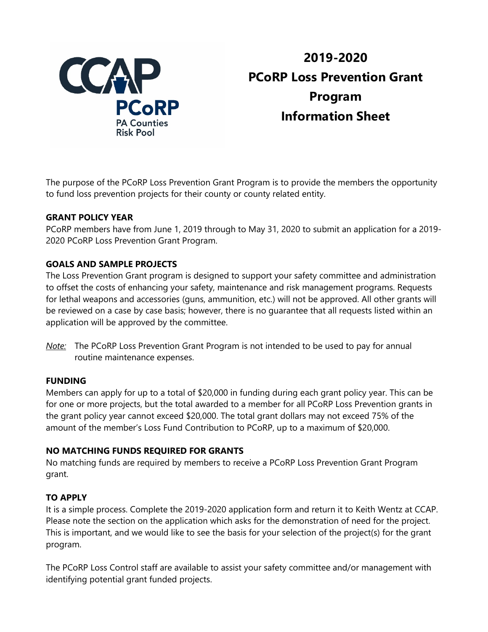

# **2019-2020 PCoRP Loss Prevention Grant Program Information Sheet**

The purpose of the PCoRP Loss Prevention Grant Program is to provide the members the opportunity to fund loss prevention projects for their county or county related entity.

#### **GRANT POLICY YEAR**

PCoRP members have from June 1, 2019 through to May 31, 2020 to submit an application for a 2019- 2020 PCoRP Loss Prevention Grant Program.

#### **GOALS AND SAMPLE PROJECTS**

The Loss Prevention Grant program is designed to support your safety committee and administration to offset the costs of enhancing your safety, maintenance and risk management programs. Requests for lethal weapons and accessories (guns, ammunition, etc.) will not be approved. All other grants will be reviewed on a case by case basis; however, there is no guarantee that all requests listed within an application will be approved by the committee.

*Note:* The PCoRP Loss Prevention Grant Program is not intended to be used to pay for annual routine maintenance expenses.

#### **FUNDING**

Members can apply for up to a total of \$20,000 in funding during each grant policy year. This can be for one or more projects, but the total awarded to a member for all PCoRP Loss Prevention grants in the grant policy year cannot exceed \$20,000. The total grant dollars may not exceed 75% of the amount of the member's Loss Fund Contribution to PCoRP, up to a maximum of \$20,000.

#### **NO MATCHING FUNDS REQUIRED FOR GRANTS**

No matching funds are required by members to receive a PCoRP Loss Prevention Grant Program grant.

#### **TO APPLY**

It is a simple process. Complete the 2019-2020 application form and return it to Keith Wentz at CCAP. Please note the section on the application which asks for the demonstration of need for the project. This is important, and we would like to see the basis for your selection of the project(s) for the grant program.

The PCoRP Loss Control staff are available to assist your safety committee and/or management with identifying potential grant funded projects.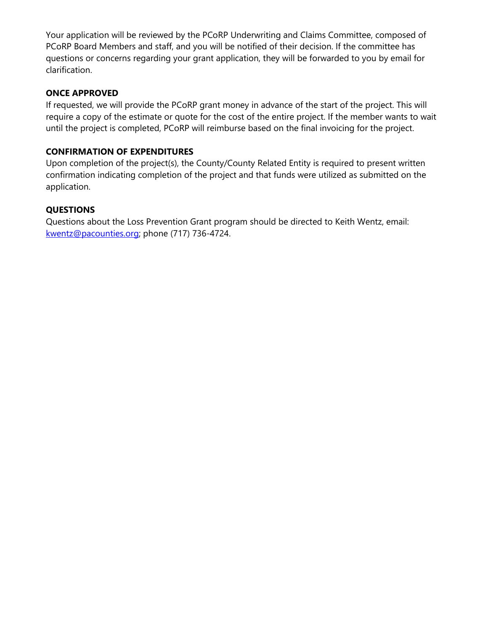Your application will be reviewed by the PCoRP Underwriting and Claims Committee, composed of PCoRP Board Members and staff, and you will be notified of their decision. If the committee has questions or concerns regarding your grant application, they will be forwarded to you by email for clarification.

#### **ONCE APPROVED**

If requested, we will provide the PCoRP grant money in advance of the start of the project. This will require a copy of the estimate or quote for the cost of the entire project. If the member wants to wait until the project is completed, PCoRP will reimburse based on the final invoicing for the project.

## **CONFIRMATION OF EXPENDITURES**

Upon completion of the project(s), the County/County Related Entity is required to present written confirmation indicating completion of the project and that funds were utilized as submitted on the application.

# **QUESTIONS**

Questions about the Loss Prevention Grant program should be directed to Keith Wentz, email: [kwentz@pacounties.org;](mailto:kwentz@pacounties.org) phone (717) 736-4724.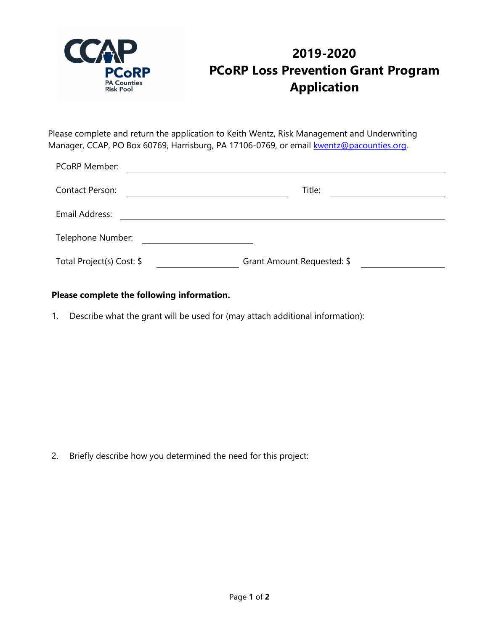

# **2019-2020 PCoRP Loss Prevention Grant Program Application**

Please complete and return the application to Keith Wentz, Risk Management and Underwriting Manager, CCAP, PO Box 60769, Harrisburg, PA 17106-0769, or email [kwentz@pacounties.org.](mailto:kwentz@pacounties.org)

| PCoRP Member:             |                            |
|---------------------------|----------------------------|
| <b>Contact Person:</b>    | Title:                     |
| Email Address:            |                            |
| Telephone Number:         |                            |
| Total Project(s) Cost: \$ | Grant Amount Requested: \$ |

## **Please complete the following information.**

1. Describe what the grant will be used for (may attach additional information):

2. Briefly describe how you determined the need for this project: